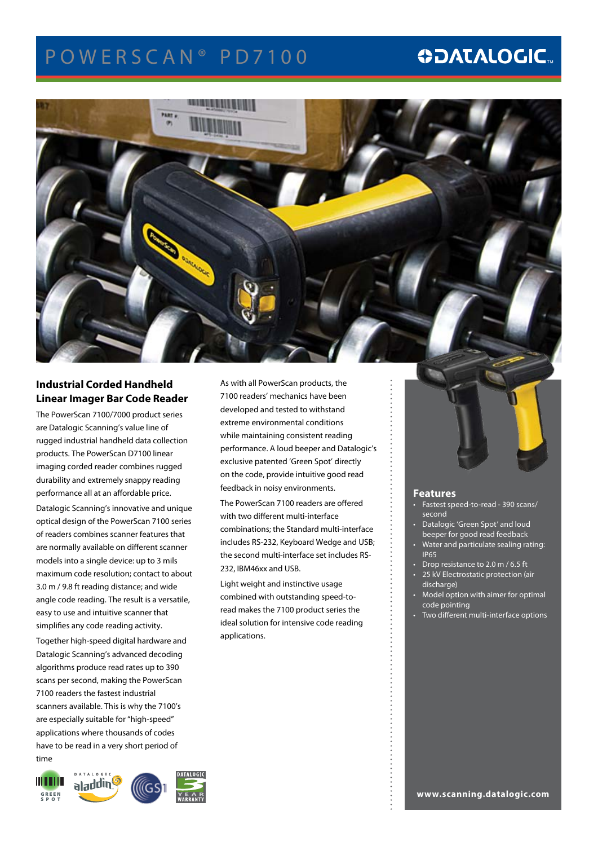## POWERSCAN<sup>®</sup> PD7100

## **ODATALOGIC.**



### **Industrial Corded Handheld Linear Imager Bar Code Reader**

The PowerScan 7100/7000 product series are Datalogic Scanning's value line of rugged industrial handheld data collection products. The PowerScan D7100 linear imaging corded reader combines rugged durability and extremely snappy reading performance all at an affordable price.

Datalogic Scanning's innovative and unique optical design of the PowerScan 7100 series of readers combines scanner features that are normally available on different scanner models into a single device: up to 3 mils maximum code resolution; contact to about 3.0 m / 9.8 ft reading distance; and wide angle code reading. The result is a versatile, easy to use and intuitive scanner that simplifies any code reading activity.

Together high-speed digital hardware and Datalogic Scanning's advanced decoding algorithms produce read rates up to 390 scans per second, making the PowerScan 7100 readers the fastest industrial scanners available. This is why the 7100's are especially suitable for "high-speed" applications where thousands of codes have to be read in a very short period of time

**TILL III** aladding G R E E N S P O T

As with all PowerScan products, the 7100 readers' mechanics have been developed and tested to withstand extreme environmental conditions while maintaining consistent reading performance. A loud beeper and Datalogic's exclusive patented 'Green Spot' directly on the code, provide intuitive good read feedback in noisy environments.

The PowerScan 7100 readers are offered with two different multi-interface combinations; the Standard multi-interface includes RS-232, Keyboard Wedge and USB; the second multi-interface set includes RS-232, IBM46xx and USB.

Light weight and instinctive usage combined with outstanding speed-toread makes the 7100 product series the ideal solution for intensive code reading applications.



### **Features**

- Fastest speed-to-read 390 scans/ second
- Datalogic 'Green Spot' and loud beeper for good read feedback
- Water and particulate sealing rating: IP65
- Drop resistance to 2.0 m / 6.5 ft
- 25 kV Electrostatic protection (air discharge)
- Model option with aimer for optimal code pointing
- Two different multi-interface options